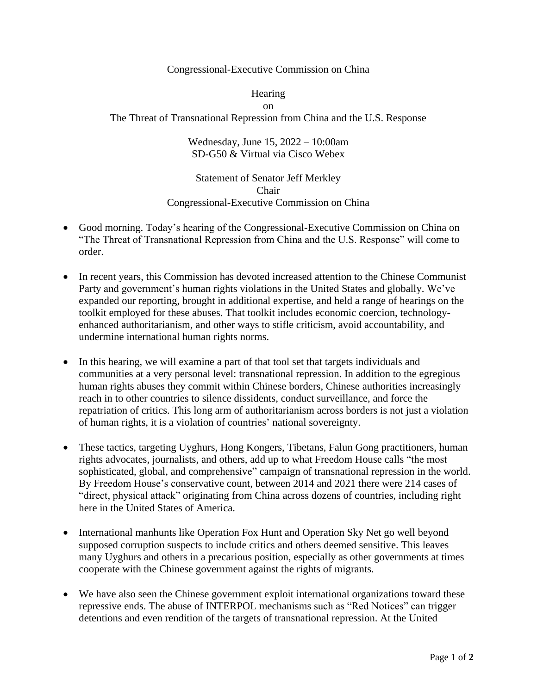## Congressional-Executive Commission on China

## **Hearing**

## on

The Threat of Transnational Repression from China and the U.S. Response

## Wednesday, June 15, 2022 – 10:00am SD-G50 & Virtual via Cisco Webex

Statement of Senator Jeff Merkley Chair Congressional-Executive Commission on China

- Good morning. Today's hearing of the Congressional-Executive Commission on China on "The Threat of Transnational Repression from China and the U.S. Response" will come to order.
- In recent years, this Commission has devoted increased attention to the Chinese Communist Party and government's human rights violations in the United States and globally. We've expanded our reporting, brought in additional expertise, and held a range of hearings on the toolkit employed for these abuses. That toolkit includes economic coercion, technologyenhanced authoritarianism, and other ways to stifle criticism, avoid accountability, and undermine international human rights norms.
- In this hearing, we will examine a part of that tool set that targets individuals and communities at a very personal level: transnational repression. In addition to the egregious human rights abuses they commit within Chinese borders, Chinese authorities increasingly reach in to other countries to silence dissidents, conduct surveillance, and force the repatriation of critics. This long arm of authoritarianism across borders is not just a violation of human rights, it is a violation of countries' national sovereignty.
- These tactics, targeting Uyghurs, Hong Kongers, Tibetans, Falun Gong practitioners, human rights advocates, journalists, and others, add up to what Freedom House calls "the most sophisticated, global, and comprehensive" campaign of transnational repression in the world. By Freedom House's conservative count, between 2014 and 2021 there were 214 cases of "direct, physical attack" originating from China across dozens of countries, including right here in the United States of America.
- International manhunts like Operation Fox Hunt and Operation Sky Net go well beyond supposed corruption suspects to include critics and others deemed sensitive. This leaves many Uyghurs and others in a precarious position, especially as other governments at times cooperate with the Chinese government against the rights of migrants.
- We have also seen the Chinese government exploit international organizations toward these repressive ends. The abuse of INTERPOL mechanisms such as "Red Notices" can trigger detentions and even rendition of the targets of transnational repression. At the United